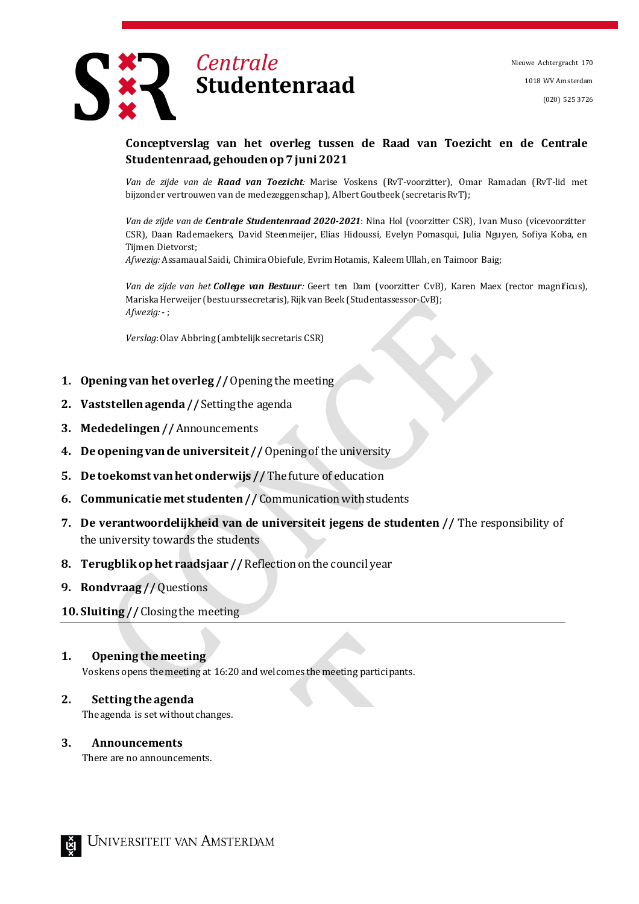Nieuwe Achtergracht 170 1018 WV Amsterdam (020) 525 3726



# **Conceptverslag van het overleg tussen de Raad van Toezicht en de Centrale Studentenraad, gehoudenop7juni 2021**

*Van de zijde van de Raad van Toezicht:* Marise Voskens (RvT-voorzitter), Omar Ramadan (RvT-lid met bijzonder vertrouwen van de medezeggenschap), Albert Goutbeek (secretarisRvT);

*Van de zijde van de Centrale Studentenraad 2020-2021*: Nina Hol (voorzitter CSR), Ivan Muso (vicevoorzitter CSR), Daan Rademaekers, David Steenmeijer, Elias Hidoussi, Evelyn Pomasqui, Julia Nguyen, Sofiya Koba, en Tijmen Dietvorst;

*Afwezig:* Assamaual Saidi, Chimira Obiefule, Evrim Hotamis, Kaleem Ullah, en Taimoor Baig;

*Van de zijde van het College van Bestuur:* Geert ten Dam (voorzitter CvB), Karen Maex (rector magnificus), Mariska Herweijer (bestuurssecretaris), Rijk van Beek (Studentassessor-CvB); *Afwezig:*- ;

*Verslag*:Olav Abbring (ambtelijk secretaris CSR)

- **1. Opening van het overleg //**Opening the meeting
- **2. Vaststellenagenda//** Settingthe agenda
- **3. Mededelingen//** Announcements
- **4. Deopening vande universiteit//**Openingof the university
- **5. De toekomst vanhet onderwijs //** Thefuture of education
- **6. Communicatie met studenten** // Communication with students
- **7. De verantwoordelijkheid van de universiteit jegens de studenten //** The responsibility of the university towards the students
- **8. Terugblikophet raadsjaar //** Reflectiononthe council year
- **9. Rondvraag //**Questions

## **10. Sluiting //** Closingthe meeting

### **1. Opening themeeting**

Voskens opens themeeting at 16:20 and welcomes themeeting participants.

### **2. Setting the agenda**

The agenda is set without changes.

### **3. Announcements**

There are no announcements.

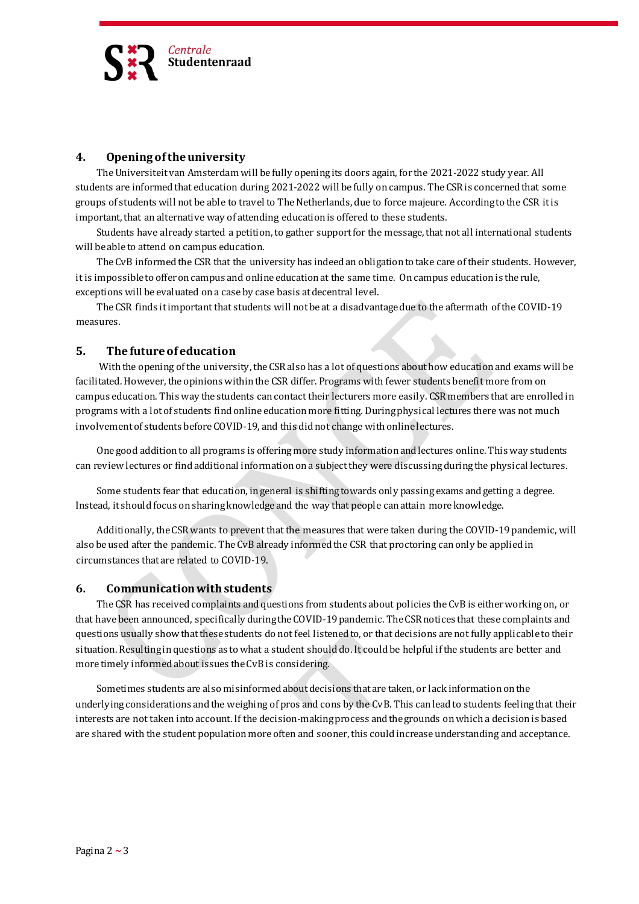

### **4. Opening oftheuniversity**

TheUniversiteitvan Amsterdam will be fully openingits doors again, for the 2021-2022 study year. All students are informed that education during 2021-2022 will be fully on campus. The CSR is concerned that some groups of students will notbe able to travel to TheNetherlands, due to force majeure. Accordingto the CSR itis important, that an alternative way of attending educationis offered to these students.

Students have already started a petition, to gather supportfor the message, that not all international students will be able to attend on campus education.

The CvB informed the CSR that the university has indeed an obligation to take care of their students. However, it is impossible to offer on campus and online education at the same time. On campus education is the rule, exceptions will be evaluated on a case by case basis at decentral level.

TheCSR finds itimportant that students will notbe at a disadvantagedue to the aftermath ofthe COVID-19 measures.

## **5. The futureof education**

With the opening of the university, the CSR also has a lot of questions about how education and exams will be facilitated. However, the opinions within the CSR differ. Programs with fewer students benefit more from on campus education. This way the students cancontact their lecturers more easily. CSR members that are enrolledin programs with a lotof students findonline educationmore fitting. Duringphysical lectures there was not much involvement of students before COVID-19, and this didnot change with online lectures.

One good additionto all programs is offeringmore study informationandlectures online. This way students can reviewlectures or findadditional informationona subjectthey were discussingduringthe physical lectures.

Some students fear that education, ingeneral is shiftingtowards only passingexams andgetting a degree. Instead, it shouldfocus onsharingknowledge and the way that people canattain moreknowledge.

Additionally, theCSRwants to prevent that the measures that were taken during the COVID-19pandemic, will also be used after the pandemic. The CvB already informed the CSR that proctoring can only be applied in circumstances that are related to COVID-19.

### **6. Communicationwithstudents**

The CSR has received complaints and questions from students about policies the CvB is either working on, or that have been announced, specifically during the COVID-19 pandemic. The CSR notices that these complaints and questions usually show that these students do not feel listened to, or that decisions are not fully applicable to their situation. Resulting in questions as to what a student should do. It could be helpful if the students are better and more timely informed about issues the CvB is considering.

Sometimes students are also misinformed about decisions that are taken, or lack information on the underlying considerations and the weighing of pros and cons by the CvB. This can lead to students feeling that their interests are not taken into account. If the decision-makingprocess andthe grounds onwhich a decisionis based are shared with the student population more often and sooner, this could increase understanding and acceptance.